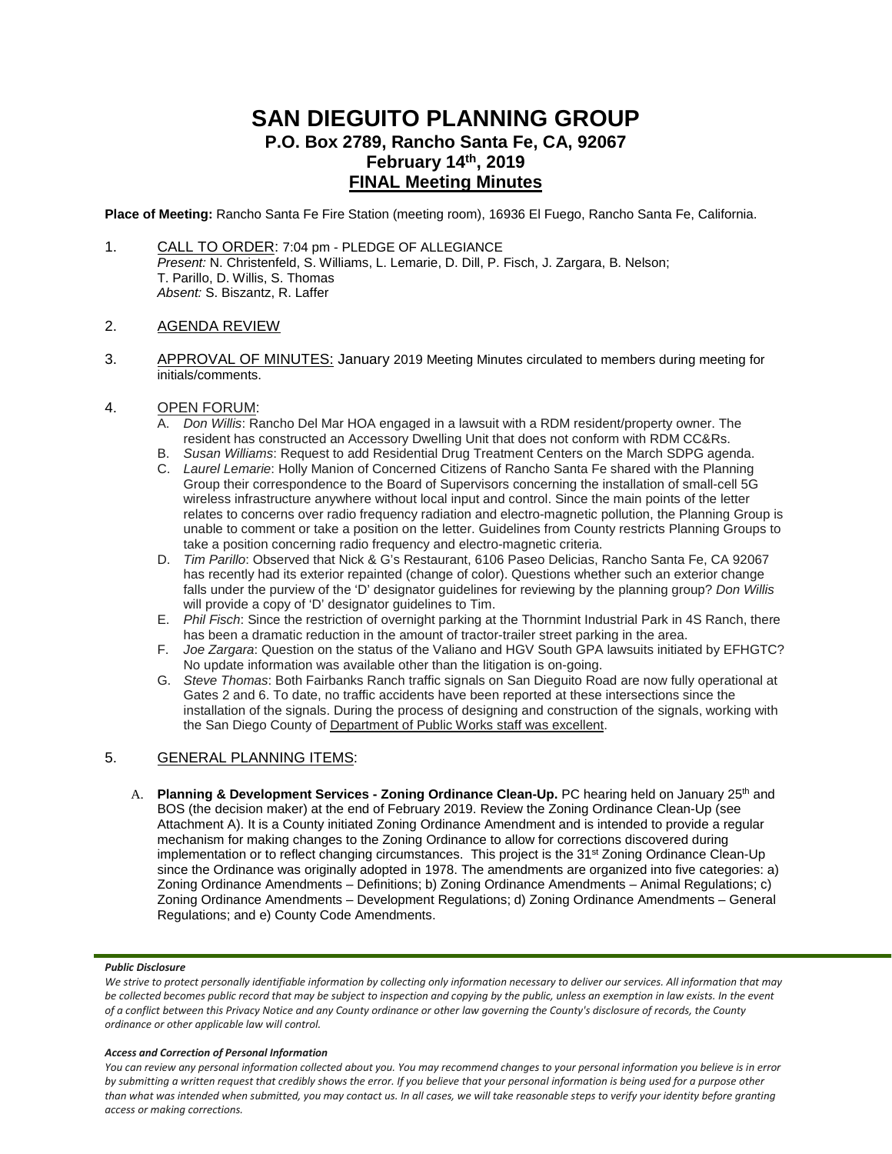# **SAN DIEGUITO PLANNING GROUP P.O. Box 2789, Rancho Santa Fe, CA, 92067 February 14th, 2019 FINAL Meeting Minutes**

**Place of Meeting:** Rancho Santa Fe Fire Station (meeting room), 16936 El Fuego, Rancho Santa Fe, California.

1. CALL TO ORDER: 7:04 pm - PLEDGE OF ALLEGIANCE *Present:* N. Christenfeld, S. Williams, L. Lemarie, D. Dill, P. Fisch, J. Zargara, B. Nelson; T. Parillo, D. Willis, S. Thomas *Absent:* S. Biszantz, R. Laffer

## 2. AGENDA REVIEW

3. APPROVAL OF MINUTES: January 2019 Meeting Minutes circulated to members during meeting for initials/comments.

## 4. OPEN FORUM:

- A. *Don Willis*: Rancho Del Mar HOA engaged in a lawsuit with a RDM resident/property owner. The resident has constructed an Accessory Dwelling Unit that does not conform with RDM CC&Rs.
- B. *Susan Williams*: Request to add Residential Drug Treatment Centers on the March SDPG agenda.
- C. *Laurel Lemarie*: Holly Manion of Concerned Citizens of Rancho Santa Fe shared with the Planning Group their correspondence to the Board of Supervisors concerning the installation of small-cell 5G wireless infrastructure anywhere without local input and control. Since the main points of the letter relates to concerns over radio frequency radiation and electro-magnetic pollution, the Planning Group is unable to comment or take a position on the letter. Guidelines from County restricts Planning Groups to take a position concerning radio frequency and electro-magnetic criteria.
- D. *Tim Parillo*: Observed that Nick & G's Restaurant, 6106 Paseo Delicias, Rancho Santa Fe, CA 92067 has recently had its exterior repainted (change of color). Questions whether such an exterior change falls under the purview of the 'D' designator guidelines for reviewing by the planning group? *Don Willis* will provide a copy of 'D' designator guidelines to Tim.
- E. *Phil Fisch*: Since the restriction of overnight parking at the Thornmint Industrial Park in 4S Ranch, there has been a dramatic reduction in the amount of tractor-trailer street parking in the area.
- F. *Joe Zargara*: Question on the status of the Valiano and HGV South GPA lawsuits initiated by EFHGTC? No update information was available other than the litigation is on-going.
- G. *Steve Thomas*: Both Fairbanks Ranch traffic signals on San Dieguito Road are now fully operational at Gates 2 and 6. To date, no traffic accidents have been reported at these intersections since the installation of the signals. During the process of designing and construction of the signals, working with the San Diego County of Department of Public Works staff was excellent.

## 5. GENERAL PLANNING ITEMS:

A. **Planning & Development Services - Zoning Ordinance Clean-Up.** PC hearing held on January 25<sup>th</sup> and BOS (the decision maker) at the end of February 2019. Review the Zoning Ordinance Clean-Up (see Attachment A). It is a County initiated Zoning Ordinance Amendment and is intended to provide a regular mechanism for making changes to the Zoning Ordinance to allow for corrections discovered during implementation or to reflect changing circumstances. This project is the 31<sup>st</sup> Zoning Ordinance Clean-Up since the Ordinance was originally adopted in 1978. The amendments are organized into five categories: a) Zoning Ordinance Amendments – Definitions; b) Zoning Ordinance Amendments – Animal Regulations; c) Zoning Ordinance Amendments – Development Regulations; d) Zoning Ordinance Amendments – General Regulations; and e) County Code Amendments.

### *Public Disclosure*

### *Access and Correction of Personal Information*

*You can review any personal information collected about you. You may recommend changes to your personal information you believe is in error by submitting a written request that credibly shows the error. If you believe that your personal information is being used for a purpose other than what was intended when submitted, you may contact us. In all cases, we will take reasonable steps to verify your identity before granting access or making corrections.*

We strive to protect personally identifiable information by collecting only information necessary to deliver our services. All information that may *be collected becomes public record that may be subject to inspection and copying by the public, unless an exemption in law exists. In the event of a conflict between this Privacy Notice and any County ordinance or other law governing the County's disclosure of records, the County ordinance or other applicable law will control.*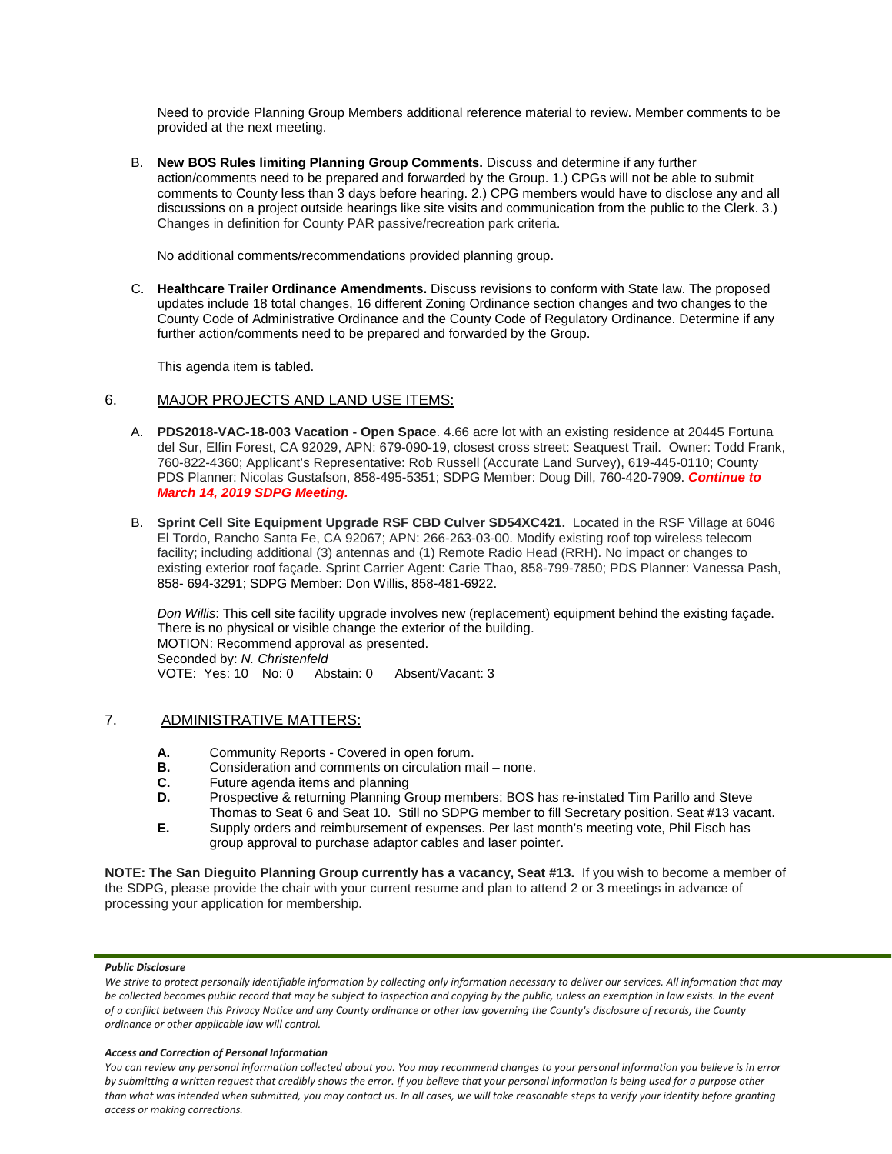Need to provide Planning Group Members additional reference material to review. Member comments to be provided at the next meeting.

B. **New BOS Rules limiting Planning Group Comments.** Discuss and determine if any further action/comments need to be prepared and forwarded by the Group. 1.) CPGs will not be able to submit comments to County less than 3 days before hearing. 2.) CPG members would have to disclose any and all discussions on a project outside hearings like site visits and communication from the public to the Clerk. 3.) Changes in definition for County PAR passive/recreation park criteria.

No additional comments/recommendations provided planning group.

C. **Healthcare Trailer Ordinance Amendments.** Discuss revisions to conform with State law. The proposed updates include 18 total changes, 16 different Zoning Ordinance section changes and two changes to the County Code of Administrative Ordinance and the County Code of Regulatory Ordinance. Determine if any further action/comments need to be prepared and forwarded by the Group.

This agenda item is tabled.

# 6. MAJOR PROJECTS AND LAND USE ITEMS:

- A. **PDS2018-VAC-18-003 Vacation - Open Space**. 4.66 acre lot with an existing residence at 20445 Fortuna del Sur, Elfin Forest, CA 92029, APN: 679-090-19, closest cross street: Seaquest Trail. Owner: Todd Frank, 760-822-4360; Applicant's Representative: Rob Russell (Accurate Land Survey), 619-445-0110; County PDS Planner: Nicolas Gustafson, 858-495-5351; SDPG Member: Doug Dill, 760-420-7909. *Continue to March 14, 2019 SDPG Meeting.*
- B. **Sprint Cell Site Equipment Upgrade RSF CBD Culver SD54XC421.** Located in the RSF Village at 6046 El Tordo, Rancho Santa Fe, CA 92067; APN: 266-263-03-00. Modify existing roof top wireless telecom facility; including additional (3) antennas and (1) Remote Radio Head (RRH). No impact or changes to existing exterior roof façade. Sprint Carrier Agent: Carie Thao, 858-799-7850; PDS Planner: Vanessa Pash, 858- 694-3291; SDPG Member: Don Willis, 858-481-6922.

*Don Willis*: This cell site facility upgrade involves new (replacement) equipment behind the existing façade. There is no physical or visible change the exterior of the building. MOTION: Recommend approval as presented. Seconded by: *N. Christenfeld* VOTE: Yes: 10 No: 0 Abstain: 0 Absent/Vacant: 3

# 7. ADMINISTRATIVE MATTERS:

- **A.** Community Reports Covered in open forum.
- **B.** Consideration and comments on circulation mail none.<br>C. Future agenda items and planning
- **C.** Future agenda items and planning<br>**D.** Prospective & returning Planning G.
- Prospective & returning Planning Group members: BOS has re-instated Tim Parillo and Steve Thomas to Seat 6 and Seat 10. Still no SDPG member to fill Secretary position. Seat #13 vacant.
- **E.** Supply orders and reimbursement of expenses. Per last month's meeting vote, Phil Fisch has group approval to purchase adaptor cables and laser pointer.

**NOTE: The San Dieguito Planning Group currently has a vacancy, Seat #13.** If you wish to become a member of the SDPG, please provide the chair with your current resume and plan to attend 2 or 3 meetings in advance of processing your application for membership.

### *Public Disclosure*

### *Access and Correction of Personal Information*

*You can review any personal information collected about you. You may recommend changes to your personal information you believe is in error by submitting a written request that credibly shows the error. If you believe that your personal information is being used for a purpose other than what was intended when submitted, you may contact us. In all cases, we will take reasonable steps to verify your identity before granting access or making corrections.*

We strive to protect personally identifiable information by collecting only information necessary to deliver our services. All information that may *be collected becomes public record that may be subject to inspection and copying by the public, unless an exemption in law exists. In the event of a conflict between this Privacy Notice and any County ordinance or other law governing the County's disclosure of records, the County ordinance or other applicable law will control.*